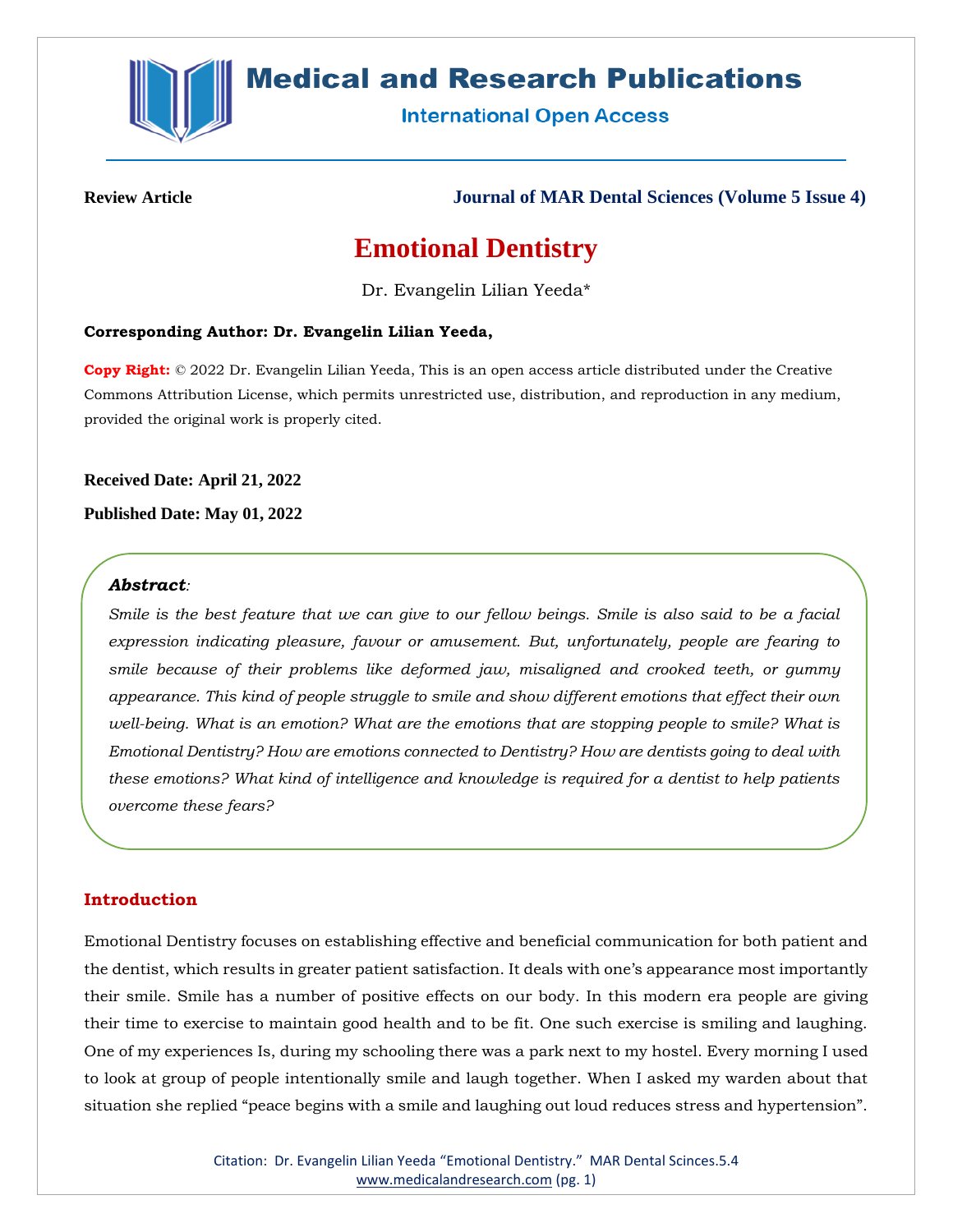

# **Medical and Research Publications**

**International Open Access** 

**Review Article Journal of MAR Dental Sciences (Volume 5 Issue 4)**

# **Emotional Dentistry**

Dr. Evangelin Lilian Yeeda\*

### **Corresponding Author: Dr. Evangelin Lilian Yeeda,**

**Copy Right:** © 2022 Dr. Evangelin Lilian Yeeda, This is an open access article distributed under the Creative Commons Attribution License, which permits unrestricted use, distribution, and reproduction in any medium, provided the original work is properly cited.

**Received Date: April 21, 2022 Published Date: May 01, 2022**

## *Abstract:*

*Smile is the best feature that we can give to our fellow beings. Smile is also said to be a facial expression indicating pleasure, favour or amusement. But, unfortunately, people are fearing to smile because of their problems like deformed jaw, misaligned and crooked teeth, or gummy appearance. This kind of people struggle to smile and show different emotions that effect their own well-being. What is an emotion? What are the emotions that are stopping people to smile? What is Emotional Dentistry? How are emotions connected to Dentistry? How are dentists going to deal with these emotions? What kind of intelligence and knowledge is required for a dentist to help patients overcome these fears?*

### **Introduction**

Emotional Dentistry focuses on establishing effective and beneficial communication for both patient and the dentist, which results in greater patient satisfaction. It deals with one's appearance most importantly their smile. Smile has a number of positive effects on our body. In this modern era people are giving their time to exercise to maintain good health and to be fit. One such exercise is smiling and laughing. One of my experiences Is, during my schooling there was a park next to my hostel. Every morning I used to look at group of people intentionally smile and laugh together. When I asked my warden about that situation she replied "peace begins with a smile and laughing out loud reduces stress and hypertension".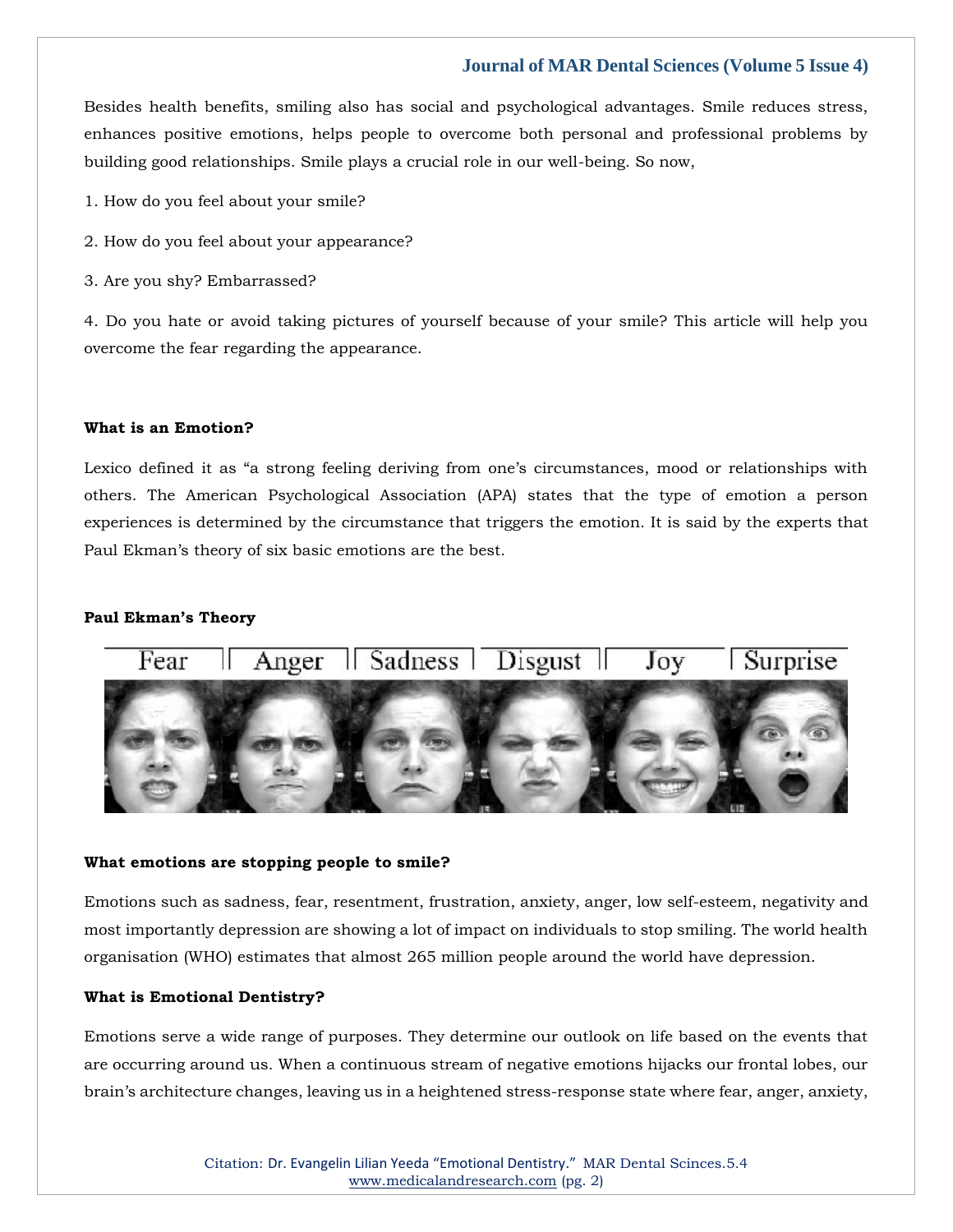Besides health benefits, smiling also has social and psychological advantages. Smile reduces stress, enhances positive emotions, helps people to overcome both personal and professional problems by building good relationships. Smile plays a crucial role in our well-being. So now,

- 1. How do you feel about your smile?
- 2. How do you feel about your appearance?
- 3. Are you shy? Embarrassed?

4. Do you hate or avoid taking pictures of yourself because of your smile? This article will help you overcome the fear regarding the appearance.

#### **What is an Emotion?**

Lexico defined it as "a strong feeling deriving from one's circumstances, mood or relationships with others. The American Psychological Association (APA) states that the type of emotion a person experiences is determined by the circumstance that triggers the emotion. It is said by the experts that Paul Ekman's theory of six basic emotions are the best.

#### **Paul Ekman's Theory**



#### **What emotions are stopping people to smile?**

Emotions such as sadness, fear, resentment, frustration, anxiety, anger, low self-esteem, negativity and most importantly depression are showing a lot of impact on individuals to stop smiling. The world health organisation (WHO) estimates that almost 265 million people around the world have depression.

#### **What is Emotional Dentistry?**

Emotions serve a wide range of purposes. They determine our outlook on life based on the events that are occurring around us. When a continuous stream of negative emotions hijacks our frontal lobes, our brain's architecture changes, leaving us in a heightened stress-response state where fear, anger, anxiety,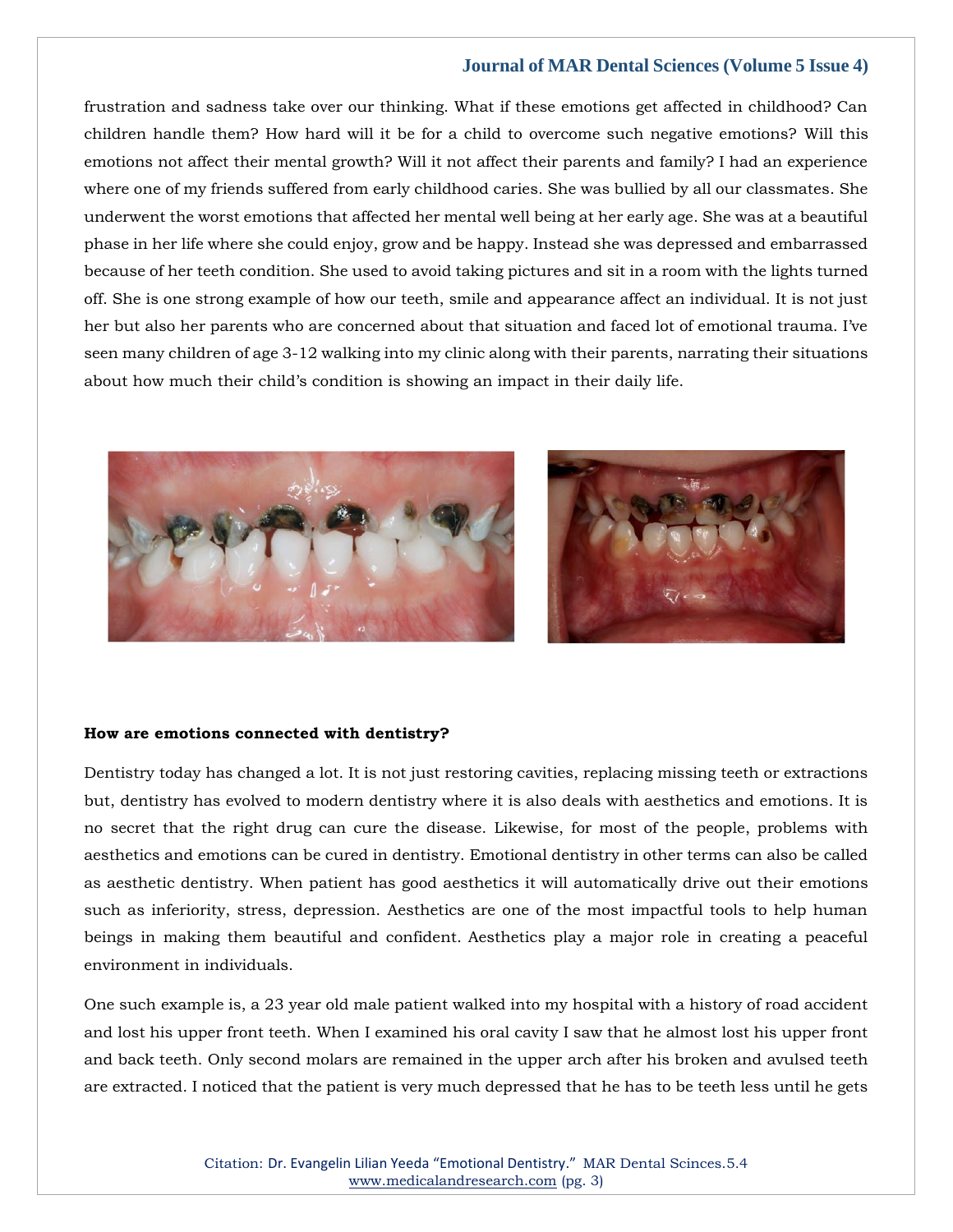frustration and sadness take over our thinking. What if these emotions get affected in childhood? Can children handle them? How hard will it be for a child to overcome such negative emotions? Will this emotions not affect their mental growth? Will it not affect their parents and family? I had an experience where one of my friends suffered from early childhood caries. She was bullied by all our classmates. She underwent the worst emotions that affected her mental well being at her early age. She was at a beautiful phase in her life where she could enjoy, grow and be happy. Instead she was depressed and embarrassed because of her teeth condition. She used to avoid taking pictures and sit in a room with the lights turned off. She is one strong example of how our teeth, smile and appearance affect an individual. It is not just her but also her parents who are concerned about that situation and faced lot of emotional trauma. I've seen many children of age 3-12 walking into my clinic along with their parents, narrating their situations about how much their child's condition is showing an impact in their daily life.





#### **How are emotions connected with dentistry?**

Dentistry today has changed a lot. It is not just restoring cavities, replacing missing teeth or extractions but, dentistry has evolved to modern dentistry where it is also deals with aesthetics and emotions. It is no secret that the right drug can cure the disease. Likewise, for most of the people, problems with aesthetics and emotions can be cured in dentistry. Emotional dentistry in other terms can also be called as aesthetic dentistry. When patient has good aesthetics it will automatically drive out their emotions such as inferiority, stress, depression. Aesthetics are one of the most impactful tools to help human beings in making them beautiful and confident. Aesthetics play a major role in creating a peaceful environment in individuals.

One such example is, a 23 year old male patient walked into my hospital with a history of road accident and lost his upper front teeth. When I examined his oral cavity I saw that he almost lost his upper front and back teeth. Only second molars are remained in the upper arch after his broken and avulsed teeth are extracted. I noticed that the patient is very much depressed that he has to be teeth less until he gets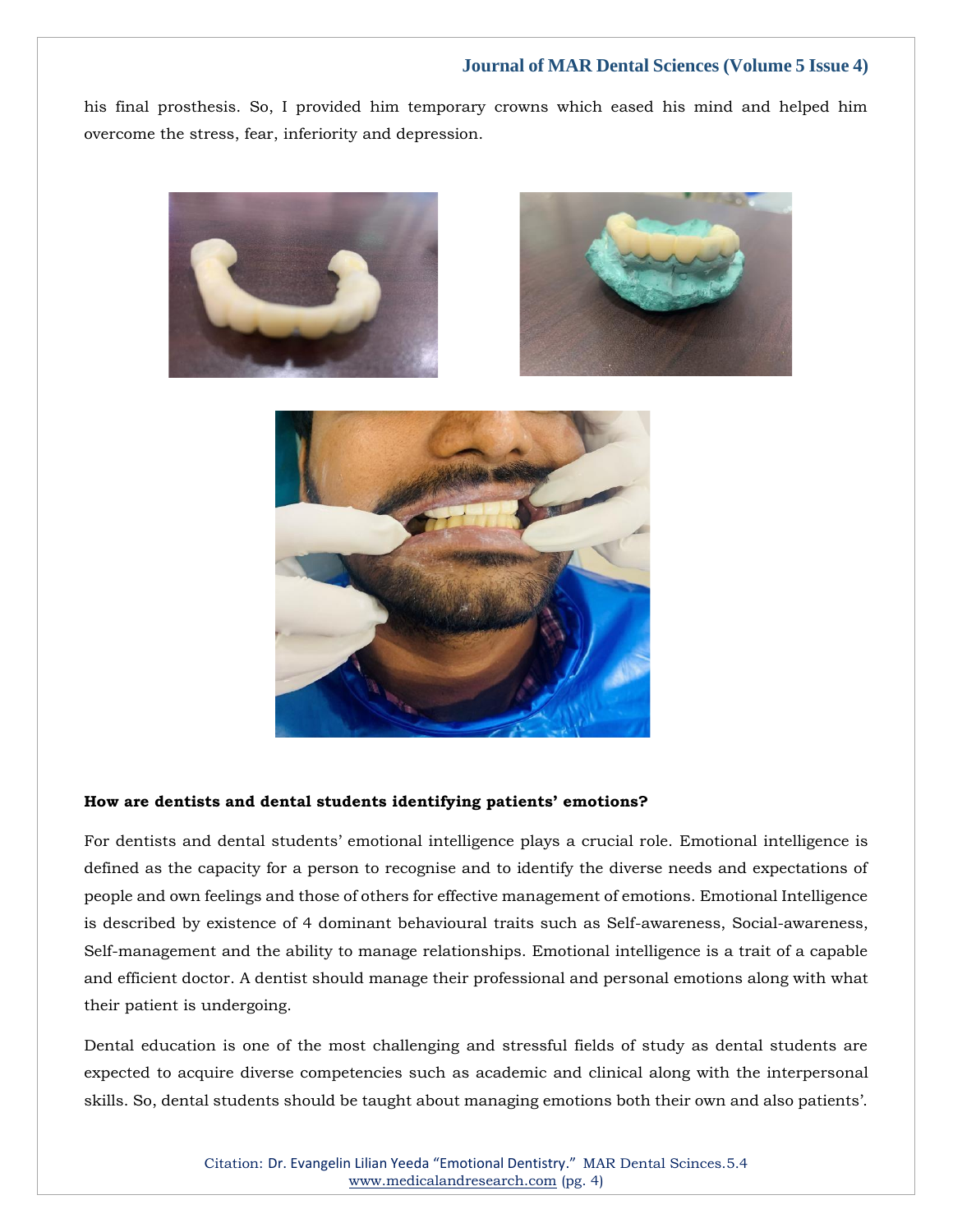his final prosthesis. So, I provided him temporary crowns which eased his mind and helped him overcome the stress, fear, inferiority and depression.







#### **How are dentists and dental students identifying patients' emotions?**

For dentists and dental students' emotional intelligence plays a crucial role. Emotional intelligence is defined as the capacity for a person to recognise and to identify the diverse needs and expectations of people and own feelings and those of others for effective management of emotions. Emotional Intelligence is described by existence of 4 dominant behavioural traits such as Self-awareness, Social-awareness, Self-management and the ability to manage relationships. Emotional intelligence is a trait of a capable and efficient doctor. A dentist should manage their professional and personal emotions along with what their patient is undergoing.

Dental education is one of the most challenging and stressful fields of study as dental students are expected to acquire diverse competencies such as academic and clinical along with the interpersonal skills. So, dental students should be taught about managing emotions both their own and also patients'.